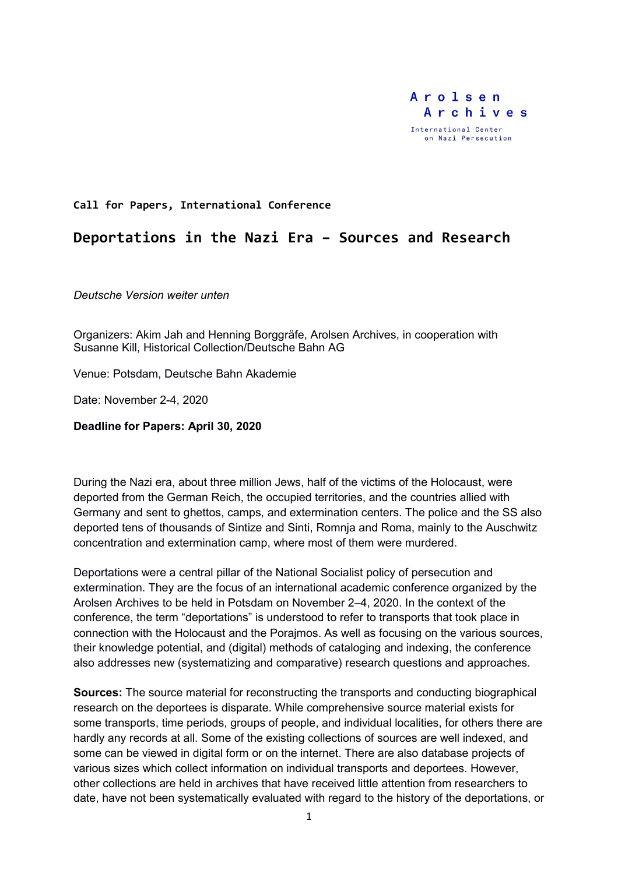

### **Call for Papers, International Conference**

# **Deportations in the Nazi Era – Sources and Research**

*Deutsche Version weiter unten*

Organizers: Akim Jah and Henning Borggräfe, Arolsen Archives, in cooperation with Susanne Kill, Historical Collection/Deutsche Bahn AG

Venue: Potsdam, Deutsche Bahn Akademie

Date: November 2-4, 2020

**Deadline for Papers: April 30, 2020** 

During the Nazi era, about three million Jews, half of the victims of the Holocaust, were deported from the German Reich, the occupied territories, and the countries allied with Germany and sent to ghettos, camps, and extermination centers. The police and the SS also deported tens of thousands of Sintize and Sinti, Romnja and Roma, mainly to the Auschwitz concentration and extermination camp, where most of them were murdered.

Deportations were a central pillar of the National Socialist policy of persecution and extermination. They are the focus of an international academic conference organized by the Arolsen Archives to be held in Potsdam on November 2–4, 2020. In the context of the conference, the term "deportations" is understood to refer to transports that took place in connection with the Holocaust and the Porajmos. As well as focusing on the various sources, their knowledge potential, and (digital) methods of cataloging and indexing, the conference also addresses new (systematizing and comparative) research questions and approaches.

**Sources:** The source material for reconstructing the transports and conducting biographical research on the deportees is disparate. While comprehensive source material exists for some transports, time periods, groups of people, and individual localities, for others there are hardly any records at all. Some of the existing collections of sources are well indexed, and some can be viewed in digital form or on the internet. There are also database projects of various sizes which collect information on individual transports and deportees. However, other collections are held in archives that have received little attention from researchers to date, have not been systematically evaluated with regard to the history of the deportations, or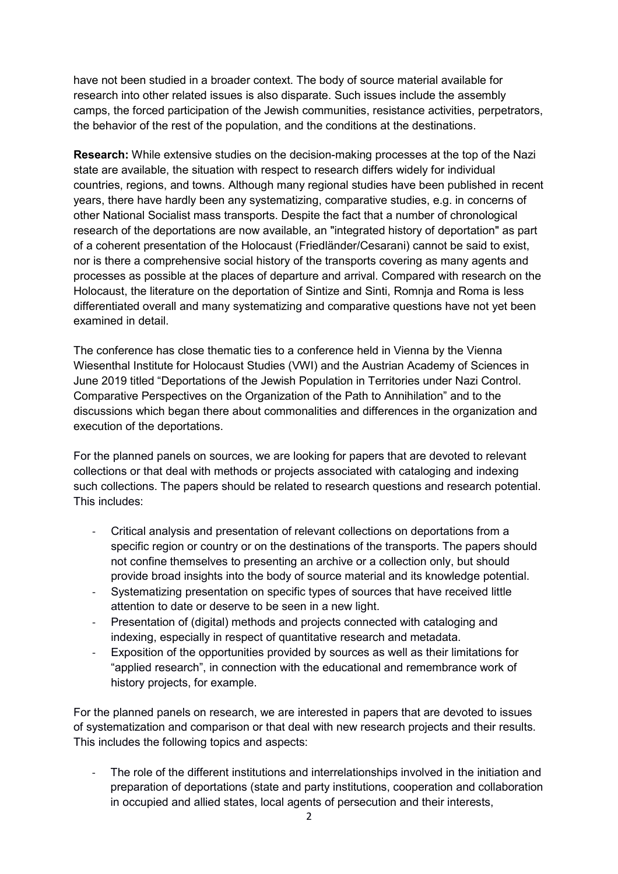have not been studied in a broader context. The body of source material available for research into other related issues is also disparate. Such issues include the assembly camps, the forced participation of the Jewish communities, resistance activities, perpetrators, the behavior of the rest of the population, and the conditions at the destinations.

**Research:** While extensive studies on the decision-making processes at the top of the Nazi state are available, the situation with respect to research differs widely for individual countries, regions, and towns. Although many regional studies have been published in recent years, there have hardly been any systematizing, comparative studies, e.g. in concerns of other National Socialist mass transports. Despite the fact that a number of chronological research of the deportations are now available, an "integrated history of deportation" as part of a coherent presentation of the Holocaust (Friedländer/Cesarani) cannot be said to exist, nor is there a comprehensive social history of the transports covering as many agents and processes as possible at the places of departure and arrival. Compared with research on the Holocaust, the literature on the deportation of Sintize and Sinti, Romnja and Roma is less differentiated overall and many systematizing and comparative questions have not yet been examined in detail.

The conference has close thematic ties to a conference held in Vienna by the Vienna Wiesenthal Institute for Holocaust Studies (VWI) and the Austrian Academy of Sciences in June 2019 titled "Deportations of the Jewish Population in Territories under Nazi Control. Comparative Perspectives on the Organization of the Path to Annihilation" and to the discussions which began there about commonalities and differences in the organization and execution of the deportations.

For the planned panels on sources, we are looking for papers that are devoted to relevant collections or that deal with methods or projects associated with cataloging and indexing such collections. The papers should be related to research questions and research potential. This includes:

- Critical analysis and presentation of relevant collections on deportations from a specific region or country or on the destinations of the transports. The papers should not confine themselves to presenting an archive or a collection only, but should provide broad insights into the body of source material and its knowledge potential.
- Systematizing presentation on specific types of sources that have received little attention to date or deserve to be seen in a new light.
- Presentation of (digital) methods and projects connected with cataloging and indexing, especially in respect of quantitative research and metadata.
- Exposition of the opportunities provided by sources as well as their limitations for "applied research", in connection with the educational and remembrance work of history projects, for example.

For the planned panels on research, we are interested in papers that are devoted to issues of systematization and comparison or that deal with new research projects and their results. This includes the following topics and aspects:

The role of the different institutions and interrelationships involved in the initiation and preparation of deportations (state and party institutions, cooperation and collaboration in occupied and allied states, local agents of persecution and their interests,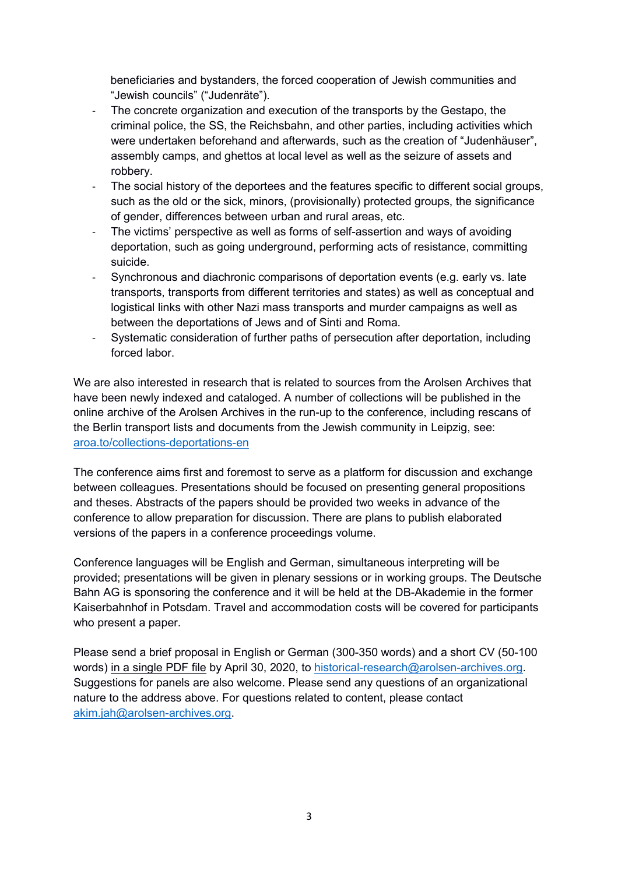beneficiaries and bystanders, the forced cooperation of Jewish communities and "Jewish councils" ("Judenräte").

- The concrete organization and execution of the transports by the Gestapo, the criminal police, the SS, the Reichsbahn, and other parties, including activities which were undertaken beforehand and afterwards, such as the creation of "Judenhäuser", assembly camps, and ghettos at local level as well as the seizure of assets and robbery.
- The social history of the deportees and the features specific to different social groups, such as the old or the sick, minors, (provisionally) protected groups, the significance of gender, differences between urban and rural areas, etc.
- The victims' perspective as well as forms of self-assertion and ways of avoiding deportation, such as going underground, performing acts of resistance, committing suicide.
- Synchronous and diachronic comparisons of deportation events (e.g. early vs. late transports, transports from different territories and states) as well as conceptual and logistical links with other Nazi mass transports and murder campaigns as well as between the deportations of Jews and of Sinti and Roma.
- Systematic consideration of further paths of persecution after deportation, including forced labor.

We are also interested in research that is related to sources from the Arolsen Archives that have been newly indexed and cataloged. A number of collections will be published in the online archive of the Arolsen Archives in the run-up to the conference, including rescans of the Berlin transport lists and documents from the Jewish community in Leipzig, see: aroa.to/collections-deportations-en

The conference aims first and foremost to serve as a platform for discussion and exchange between colleagues. Presentations should be focused on presenting general propositions and theses. Abstracts of the papers should be provided two weeks in advance of the conference to allow preparation for discussion. There are plans to publish elaborated versions of the papers in a conference proceedings volume.

Conference languages will be English and German, simultaneous interpreting will be provided; presentations will be given in plenary sessions or in working groups. The Deutsche Bahn AG is sponsoring the conference and it will be held at the DB-Akademie in the former Kaiserbahnhof in Potsdam. Travel and accommodation costs will be covered for participants who present a paper.

Please send a brief proposal in English or German (300-350 words) and a short CV (50-100 words) in a single PDF file by April 30, 2020, to historical-research@arolsen-archives.org. Suggestions for panels are also welcome. Please send any questions of an organizational nature to the address above. For questions related to content, please contact akim.jah@arolsen-archives.org.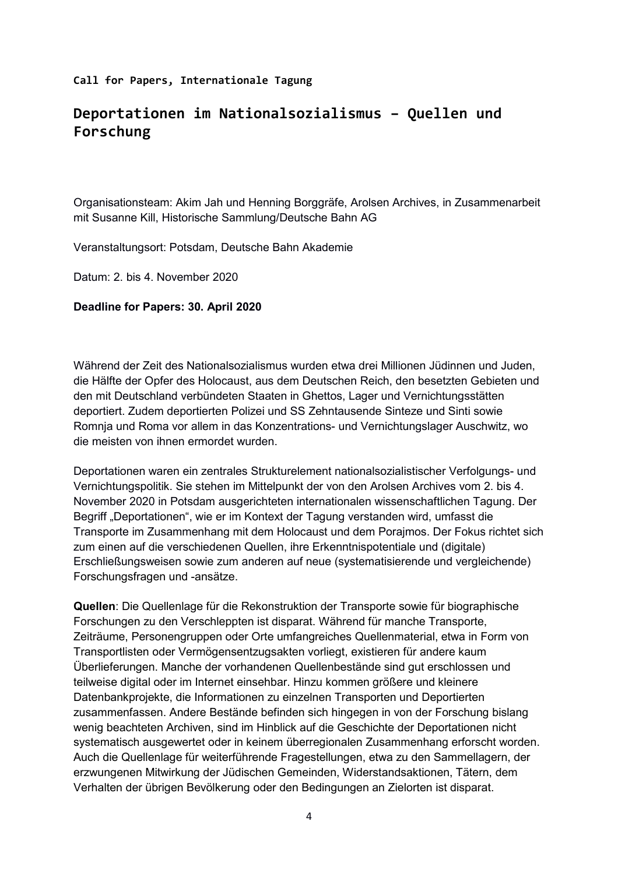## **Call for Papers, Internationale Tagung**

# **Deportationen im Nationalsozialismus – Quellen und Forschung**

Organisationsteam: Akim Jah und Henning Borggräfe, Arolsen Archives, in Zusammenarbeit mit Susanne Kill, Historische Sammlung/Deutsche Bahn AG

Veranstaltungsort: Potsdam, Deutsche Bahn Akademie

Datum: 2. bis 4. November 2020

### **Deadline for Papers: 30. April 2020**

Während der Zeit des Nationalsozialismus wurden etwa drei Millionen Jüdinnen und Juden, die Hälfte der Opfer des Holocaust, aus dem Deutschen Reich, den besetzten Gebieten und den mit Deutschland verbündeten Staaten in Ghettos, Lager und Vernichtungsstätten deportiert. Zudem deportierten Polizei und SS Zehntausende Sinteze und Sinti sowie Romnja und Roma vor allem in das Konzentrations- und Vernichtungslager Auschwitz, wo die meisten von ihnen ermordet wurden.

Deportationen waren ein zentrales Strukturelement nationalsozialistischer Verfolgungs- und Vernichtungspolitik. Sie stehen im Mittelpunkt der von den Arolsen Archives vom 2. bis 4. November 2020 in Potsdam ausgerichteten internationalen wissenschaftlichen Tagung. Der Begriff "Deportationen", wie er im Kontext der Tagung verstanden wird, umfasst die Transporte im Zusammenhang mit dem Holocaust und dem Porajmos. Der Fokus richtet sich zum einen auf die verschiedenen Quellen, ihre Erkenntnispotentiale und (digitale) Erschließungsweisen sowie zum anderen auf neue (systematisierende und vergleichende) Forschungsfragen und -ansätze.

**Quellen**: Die Quellenlage für die Rekonstruktion der Transporte sowie für biographische Forschungen zu den Verschleppten ist disparat. Während für manche Transporte, Zeiträume, Personengruppen oder Orte umfangreiches Quellenmaterial, etwa in Form von Transportlisten oder Vermögensentzugsakten vorliegt, existieren für andere kaum Überlieferungen. Manche der vorhandenen Quellenbestände sind gut erschlossen und teilweise digital oder im Internet einsehbar. Hinzu kommen größere und kleinere Datenbankprojekte, die Informationen zu einzelnen Transporten und Deportierten zusammenfassen. Andere Bestände befinden sich hingegen in von der Forschung bislang wenig beachteten Archiven, sind im Hinblick auf die Geschichte der Deportationen nicht systematisch ausgewertet oder in keinem überregionalen Zusammenhang erforscht worden. Auch die Quellenlage für weiterführende Fragestellungen, etwa zu den Sammellagern, der erzwungenen Mitwirkung der Jüdischen Gemeinden, Widerstandsaktionen, Tätern, dem Verhalten der übrigen Bevölkerung oder den Bedingungen an Zielorten ist disparat.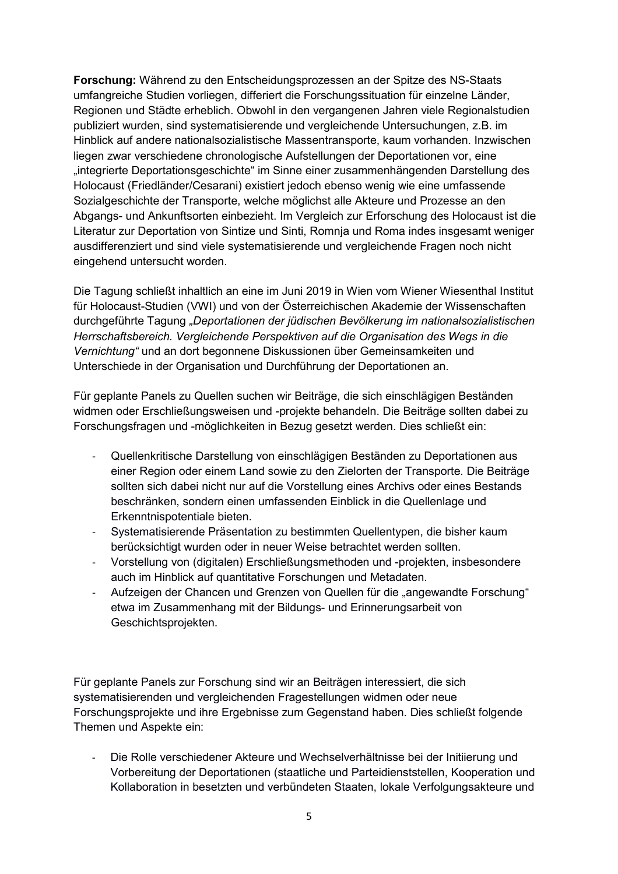**Forschung:** Während zu den Entscheidungsprozessen an der Spitze des NS-Staats umfangreiche Studien vorliegen, differiert die Forschungssituation für einzelne Länder, Regionen und Städte erheblich. Obwohl in den vergangenen Jahren viele Regionalstudien publiziert wurden, sind systematisierende und vergleichende Untersuchungen, z.B. im Hinblick auf andere nationalsozialistische Massentransporte, kaum vorhanden. Inzwischen liegen zwar verschiedene chronologische Aufstellungen der Deportationen vor, eine "integrierte Deportationsgeschichte" im Sinne einer zusammenhängenden Darstellung des Holocaust (Friedländer/Cesarani) existiert jedoch ebenso wenig wie eine umfassende Sozialgeschichte der Transporte, welche möglichst alle Akteure und Prozesse an den Abgangs- und Ankunftsorten einbezieht. Im Vergleich zur Erforschung des Holocaust ist die Literatur zur Deportation von Sintize und Sinti, Romnja und Roma indes insgesamt weniger ausdifferenziert und sind viele systematisierende und vergleichende Fragen noch nicht eingehend untersucht worden.

Die Tagung schließt inhaltlich an eine im Juni 2019 in Wien vom Wiener Wiesenthal Institut für Holocaust-Studien (VWI) und von der Österreichischen Akademie der Wissenschaften durchgeführte Tagung *"Deportationen der jüdischen Bevölkerung im nationalsozialistischen Herrschaftsbereich. Vergleichende Perspektiven auf die Organisation des Wegs in die Vernichtung"* und an dort begonnene Diskussionen über Gemeinsamkeiten und Unterschiede in der Organisation und Durchführung der Deportationen an.

Für geplante Panels zu Quellen suchen wir Beiträge, die sich einschlägigen Beständen widmen oder Erschließungsweisen und -projekte behandeln. Die Beiträge sollten dabei zu Forschungsfragen und -möglichkeiten in Bezug gesetzt werden. Dies schließt ein:

- Quellenkritische Darstellung von einschlägigen Beständen zu Deportationen aus einer Region oder einem Land sowie zu den Zielorten der Transporte. Die Beiträge sollten sich dabei nicht nur auf die Vorstellung eines Archivs oder eines Bestands beschränken, sondern einen umfassenden Einblick in die Quellenlage und Erkenntnispotentiale bieten.
- Systematisierende Präsentation zu bestimmten Quellentypen, die bisher kaum berücksichtigt wurden oder in neuer Weise betrachtet werden sollten.
- Vorstellung von (digitalen) Erschließungsmethoden und -projekten, insbesondere auch im Hinblick auf quantitative Forschungen und Metadaten.
- Aufzeigen der Chancen und Grenzen von Quellen für die "angewandte Forschung" etwa im Zusammenhang mit der Bildungs- und Erinnerungsarbeit von Geschichtsprojekten.

Für geplante Panels zur Forschung sind wir an Beiträgen interessiert, die sich systematisierenden und vergleichenden Fragestellungen widmen oder neue Forschungsprojekte und ihre Ergebnisse zum Gegenstand haben. Dies schließt folgende Themen und Aspekte ein:

- Die Rolle verschiedener Akteure und Wechselverhältnisse bei der Initiierung und Vorbereitung der Deportationen (staatliche und Parteidienststellen, Kooperation und Kollaboration in besetzten und verbündeten Staaten, lokale Verfolgungsakteure und